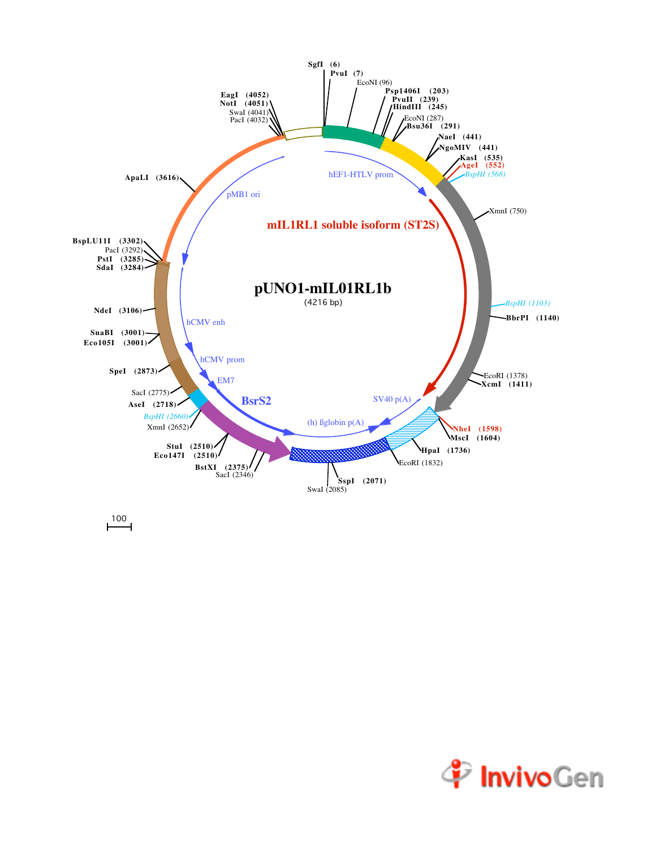

 $\overline{100}$ 

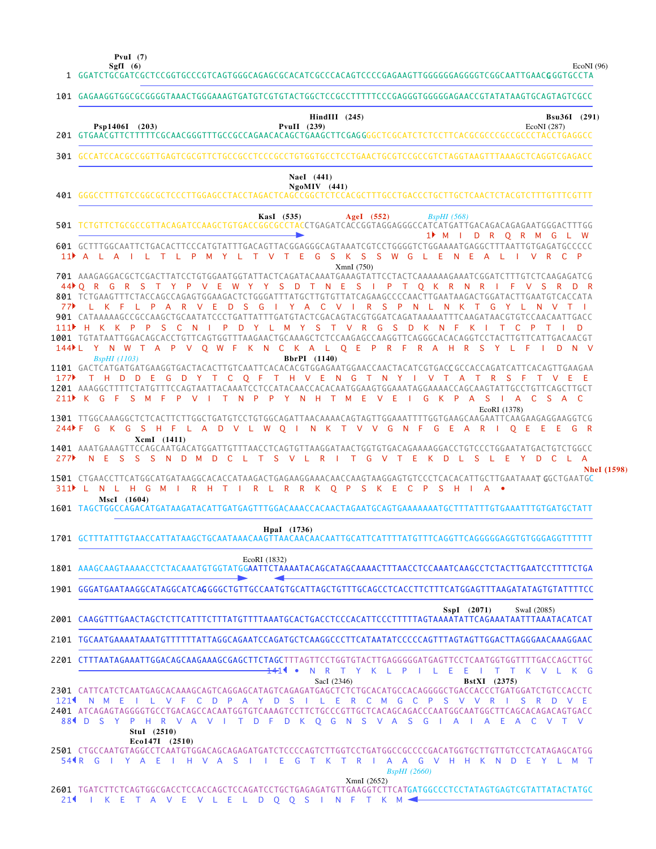**SgfI (6) PvuI (7)**

EcoNI (96)

|                 | 1 GGATCTGCGATCGCTCCGGTGCCCGTCAGTGGGCAGAGCGCACATCGCCCACAGTCCCCGAGAAGTTGGGGGGAGGGGTCGGCAATTGAACGGGTGCCTA                                                                                                                                                                                                                                                                                                                                                                                                                                                                                                                                                                                                                                                                                      |
|-----------------|---------------------------------------------------------------------------------------------------------------------------------------------------------------------------------------------------------------------------------------------------------------------------------------------------------------------------------------------------------------------------------------------------------------------------------------------------------------------------------------------------------------------------------------------------------------------------------------------------------------------------------------------------------------------------------------------------------------------------------------------------------------------------------------------|
|                 | 101 GAGAAGGTGGCGCGGGGTAAACTGGGAAAGTGATGTCGTGTACTGGCTCCGCCTTTTTCCCGAGGGTGGGGAGAACCGTATATAAGTGCAGTAGTCGCC                                                                                                                                                                                                                                                                                                                                                                                                                                                                                                                                                                                                                                                                                     |
|                 | $HindIII$ (245)<br>Bsu36I (291)<br>Psp1406I (203)<br>PvuII $(239)$<br>EcoNI (287)                                                                                                                                                                                                                                                                                                                                                                                                                                                                                                                                                                                                                                                                                                           |
|                 | 301 GCCATCCACGCCGGTTGAGTCGCGTTCTGCCGCCTCCCGCCTGTGGTGCCTCCTGAACTGCGTCCGCCGTCTAGGTAAGTTTAAAGCTCAGGTCGAGACC                                                                                                                                                                                                                                                                                                                                                                                                                                                                                                                                                                                                                                                                                    |
|                 | NaeI (441)<br>$NgoMIV$ (441)                                                                                                                                                                                                                                                                                                                                                                                                                                                                                                                                                                                                                                                                                                                                                                |
|                 | KasI (535)<br>AgeI $(552)$<br>BspHI(568)<br>1 M I D R O R M G L W                                                                                                                                                                                                                                                                                                                                                                                                                                                                                                                                                                                                                                                                                                                           |
|                 | 601 GCTTTGGCAATTCTGACACTTCCCATGTATTTGACAGTTACGGAGGGCAGTAAATCGTCCTGGGGTCTGGAAAATGAGGCTTTAATTGTGAGATGCCCCC<br>V T E G S K S S W G L E<br>11 A L A I L T L P<br>N.<br>E.<br>A L<br>$\vee$<br>R C P<br>M<br>Y<br>L.<br>T<br>XmnI (750)                                                                                                                                                                                                                                                                                                                                                                                                                                                                                                                                                          |
| 77▶             | 701 AAAGAGGACGCTCGACTTATCCTGTGGAATGGTATTACTCAGATACAAATGAAAGTATTCCTACTCAAAAAAGAAATCGGATCTTTGTCTCAAGAGATCG<br>44 Q R G R S T Y P V E W Y Y S D T N E S I P T Q K R N R I F V S R D R<br>801 TCTGAAGTTTCTACCAGCCAGAGTGGAAGACTCTGGGATTTATGCTTGTGTTATCAGAAGCCCCAACTTGAATAAGACTGGATACTTGAATGTCACCATA<br>L K F L P A R V E D S G I Y A C V I R S P N L N K T G Y L N<br>V T<br>901 CATAAAAAGCCGCCAAGCTGCAATATCCCTGATTATTTGATGTACTCGACAGTACGTGGATCAGATAAAAATTTCAAGATAACGTGTCCAACAATTGACC<br>S C<br>I P D Y L M Y S T V R G S D K N F<br>H K K P P<br>N<br>KI<br>T C<br>1001 TGTATAATTGGACAGCACCTGTTCAGTGGTTTAAGAACTGCAAAGCTCTCCAAGAGCCAAGGTTCAGGGCACACAGGTCCTACTTGTTCATTGACAACGT<br>144▶L Y N W T A P V Q W F K N C K A L Q E P R F R A H R<br>S.<br>Y<br>D.<br><b>BspHI</b> (1103)<br>BbrPI (1140) |
| 177<br>$211$ K  | 1101 GACTCATGATGATGAAGGTGACTACACTTGTCAATTCACACACGTGGAGAATGGAACCAACTACATCGTGACCGCCACCAGATCATTCACAGTTGAAGAA<br>T H D D E G D Y T C Q F T H V E N G T N Y I V T A T R S F T V E<br>1201 AAAGGCTTTTCTATGTTTCCAGTAATTACAAATCCTCCATACAACCACACAATGGAAGTGGAAATAGGAAAACCAGCAAGTATTGCCTGTTCAGCTTGCT<br>G<br>- F<br>F P V I T N P P Y N H T M E V E<br>G K P A S I A C S A C<br>S M                                                                                                                                                                                                                                                                                                                                                                                                                    |
| 244 F F<br>277▶ | EcoRI (1378)<br>1301 TTGGCAAAGGCTCTCACTTCTTGGCTGATGTCCTGTGGCAGATTAACAAAACAGTAGTTGGAAATTTTGGTGAAGCAAGAATTCAAGAAGAGGAAGGTCG<br>G K G S H F L A D V L W O I N K T V V G N F G E A R I O E E E G R<br>XcmI (1411)<br>1401 AAATGAAAGTTCCAGCAATGACATGGATTGTTTAACCTCAGTGTTAAGGATAACTGGTGTGACAGAAAAGGACCTGTCCCTGGAATATGACTGTCTGGCC<br>NESSSNDMDCLTSVLRITGVTEKDLSLEYDCLA                                                                                                                                                                                                                                                                                                                                                                                                                             |
|                 | <b>NheI</b> (1598)<br>1501 CTGAACCTTCATGGCATGATAAGGCACACCATAAGACTGAGAAGGAAACAACCAAGTAAGGAGTGTCCCTCACACATTGCTTGAATAAAT GGCTGAATGC<br>311 L N L H G M I R H T I R L R R K O P S K E C P S H<br>$\overline{A}$ $\bullet$<br>MscI (1604)<br>1601 TAGCTGGCCAGACATGATAAGATACATTGATGAGTTTGGACAAACCACAACTAGAATGCAGTGAAAAAATGCTTTATTTGTGAAATTTGTGATGCTATT                                                                                                                                                                                                                                                                                                                                                                                                                                            |
|                 | HpaI (1736)                                                                                                                                                                                                                                                                                                                                                                                                                                                                                                                                                                                                                                                                                                                                                                                 |
|                 | EcoRI (1832)<br>1801 AAAGCAAGTAAAACCTCTACAAATGTGGTATGGAATTCTAAAATACAGCATAGCAAAACTTTAACCTCCAAATCAAGCCTCTACTTGAATCCTTTTCTGA                                                                                                                                                                                                                                                                                                                                                                                                                                                                                                                                                                                                                                                                   |
|                 | 1901 GGGATGAATAAGGCATAGGCATCAGGGGCTGTTGCCAATGTGCATTAGCTGTTTGCAGCCTCACCTTCTTTCATGGAGTTTAAGATATAGTGTATTTTCC                                                                                                                                                                                                                                                                                                                                                                                                                                                                                                                                                                                                                                                                                   |
|                 | SspI (2071)<br>SwaI (2085)<br>2001 CAAGGTTTGAACTAGCTCTTCATTTCTTTATGTTTTAAATGCACTGACCTCCCACATTCCCTTTTTAGTAAAATATTCAGAAATAATTTAAATACATCAT                                                                                                                                                                                                                                                                                                                                                                                                                                                                                                                                                                                                                                                     |
|                 | 2101 TGCAATGAAAATAAATGTTTTTTATTAGGCAGAATCCAGATGCTCAAGGCCCTTCATAATATCCCCCAGTTTAGTAGTTGGACTTAGGGAACAAAGGAAC                                                                                                                                                                                                                                                                                                                                                                                                                                                                                                                                                                                                                                                                                   |
|                 | 2201 CTTTAATAGAAATTGGACAGCAAGAAAGCGAGCTTCTAGCTTTAGTTCCTGGTGTACTTGAGGGGGATGAGTTCCTCAATGGTGGTTTTGACCAGCTTGC<br>1411 .<br>N R T Y K L P I L E<br>E.<br>T T K V L K G<br>and the                                                                                                                                                                                                                                                                                                                                                                                                                                                                                                                                                                                                                |
|                 | SacI (2346)<br><b>BstXI</b> (2375)<br>2301 CATTCATCTCAATGAGCACAAAGCAGTCAGGAGCATAGTCAGAGATGAGCTCTCTGCACATGCCACAGGGGCTGACCACCCTGATGGATCTGTCCACCTC<br>1214 N M E<br>I L V F C D P A Y D S I L E R C M G C P S V V R<br>-S<br>R<br>DVE<br>88 I D S Y P H R V A V I T D F D K O G N S V A S G I A I A E A C V T V<br>Stul (2510)                                                                                                                                                                                                                                                                                                                                                                                                                                                                 |
|                 | Eco147I (2510)<br>2501 CTGCCAATGTAGGCCTCAATGTGGACAGCAGAGATGATCTCCCCAGTCTTGGTCCTGATGGCCGCCCCGACATGGTGCTTGTTGTCCTCATAGAGCATGG<br>54¶R G I Y A E I H V A S I I E G T K T R I A A G V H H K N D E Y L M T<br><b>BspHI</b> (2660)                                                                                                                                                                                                                                                                                                                                                                                                                                                                                                                                                                |
|                 | XmnI (2652)<br>2601 TGATCTTCTCAGTGGCGACCTCCACCAGCTCCAGATCCTGCTGAGAGATGTTGAAGGTCTTCATGATGGCCCTCCTATAGTGAGTCGTATTATACTATGC                                                                                                                                                                                                                                                                                                                                                                                                                                                                                                                                                                                                                                                                    |

I K E T A V E V L E L D Q Q S I N F T K M

2 1